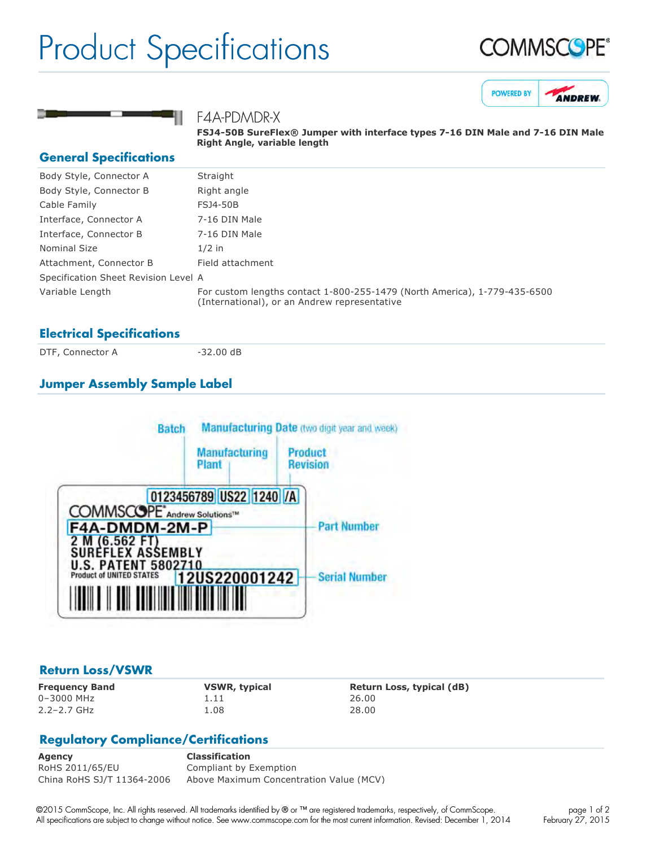# Product Specifications







# F4A-PDMDR-X

**FSJ450B SureFlex® Jumper with interface types 716 DIN Male and 716 DIN Male Right Angle, variable length**

#### **General Specifications**

| Body Style, Connector A              | Straight                                                                                                                  |
|--------------------------------------|---------------------------------------------------------------------------------------------------------------------------|
| Body Style, Connector B              | Right angle                                                                                                               |
| Cable Family                         | <b>FSJ4-50B</b>                                                                                                           |
| Interface, Connector A               | 7-16 DIN Male                                                                                                             |
| Interface, Connector B               | 7-16 DIN Male                                                                                                             |
| Nominal Size                         | $1/2$ in                                                                                                                  |
| Attachment, Connector B              | Field attachment                                                                                                          |
| Specification Sheet Revision Level A |                                                                                                                           |
| Variable Length                      | For custom lengths contact 1-800-255-1479 (North America), 1-779-435-6500<br>(International), or an Andrew representative |

# **Electrical Specifications**

DTF, Connector A 32.00 dB

# **Jumper Assembly Sample Label**



### **Return Loss/VSWR**

0–3000 MHz 1.11 26.00 2.2–2.7 GHz 1.08 28.00

**Frequency Band VSWR, typical Return Loss, typical (dB)**

# **Regulatory Compliance/Certifications**

**Agency Classification** RoHS 2011/65/EU Compliant by Exemption China RoHS SJ/T 11364-2006 Above Maximum Concentration Value (MCV)

©2015 CommScope, Inc. All rights reserved. All trademarks identified by ® or ™ are registered trademarks, respectively, of CommScope. All specifications are subject to change without notice. See www.commscope.com for the most current information. Revised: December 1, 2014